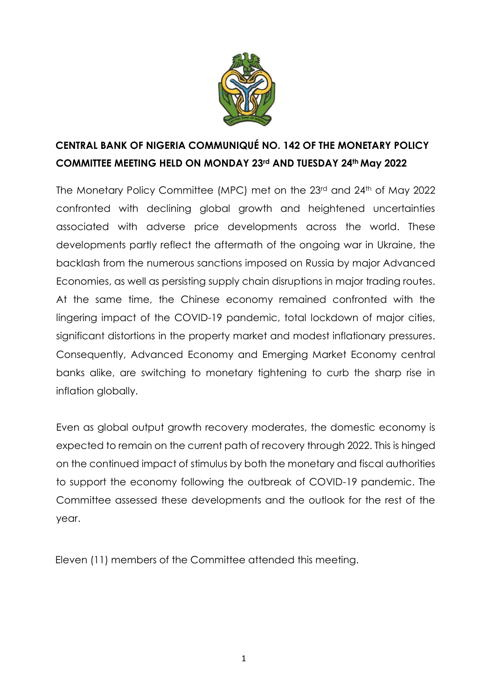

# **CENTRAL BANK OF NIGERIA COMMUNIQUÉ NO. 142 OF THE MONETARY POLICY COMMITTEE MEETING HELD ON MONDAY 23rd AND TUESDAY 24th May 2022**

The Monetary Policy Committee (MPC) met on the 23rd and 24th of May 2022 confronted with declining global growth and heightened uncertainties associated with adverse price developments across the world. These developments partly reflect the aftermath of the ongoing war in Ukraine, the backlash from the numerous sanctions imposed on Russia by major Advanced Economies, as well as persisting supply chain disruptions in major trading routes. At the same time, the Chinese economy remained confronted with the lingering impact of the COVID-19 pandemic, total lockdown of major cities, significant distortions in the property market and modest inflationary pressures. Consequently, Advanced Economy and Emerging Market Economy central banks alike, are switching to monetary tightening to curb the sharp rise in inflation globally.

Even as global output growth recovery moderates, the domestic economy is expected to remain on the current path of recovery through 2022. This is hinged on the continued impact of stimulus by both the monetary and fiscal authorities to support the economy following the outbreak of COVID-19 pandemic. The Committee assessed these developments and the outlook for the rest of the year.

Eleven (11) members of the Committee attended this meeting.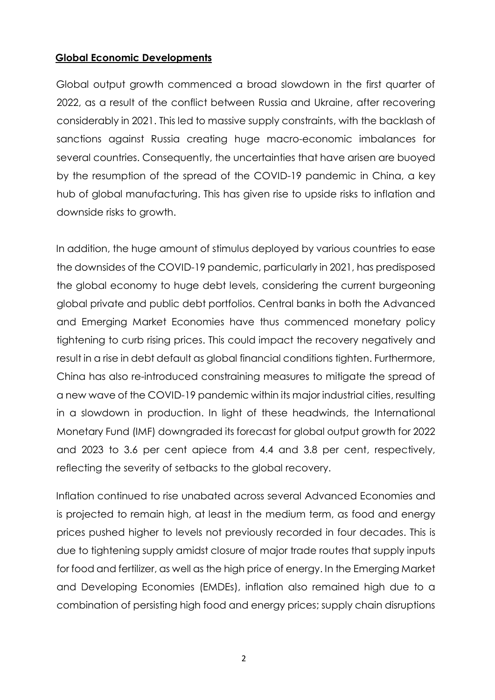# **Global Economic Developments**

Global output growth commenced a broad slowdown in the first quarter of 2022, as a result of the conflict between Russia and Ukraine, after recovering considerably in 2021. This led to massive supply constraints, with the backlash of sanctions against Russia creating huge macro-economic imbalances for several countries. Consequently, the uncertainties that have arisen are buoyed by the resumption of the spread of the COVID-19 pandemic in China, a key hub of global manufacturing. This has given rise to upside risks to inflation and downside risks to growth.

In addition, the huge amount of stimulus deployed by various countries to ease the downsides of the COVID-19 pandemic, particularly in 2021, has predisposed the global economy to huge debt levels, considering the current burgeoning global private and public debt portfolios. Central banks in both the Advanced and Emerging Market Economies have thus commenced monetary policy tightening to curb rising prices. This could impact the recovery negatively and result in a rise in debt default as global financial conditions tighten. Furthermore, China has also re-introduced constraining measures to mitigate the spread of a new wave of the COVID-19 pandemic within its major industrial cities, resulting in a slowdown in production. In light of these headwinds, the International Monetary Fund (IMF) downgraded its forecast for global output growth for 2022 and 2023 to 3.6 per cent apiece from 4.4 and 3.8 per cent, respectively, reflecting the severity of setbacks to the global recovery.

Inflation continued to rise unabated across several Advanced Economies and is projected to remain high, at least in the medium term, as food and energy prices pushed higher to levels not previously recorded in four decades. This is due to tightening supply amidst closure of major trade routes that supply inputs for food and fertilizer, as well as the high price of energy. In the Emerging Market and Developing Economies (EMDEs), inflation also remained high due to a combination of persisting high food and energy prices; supply chain disruptions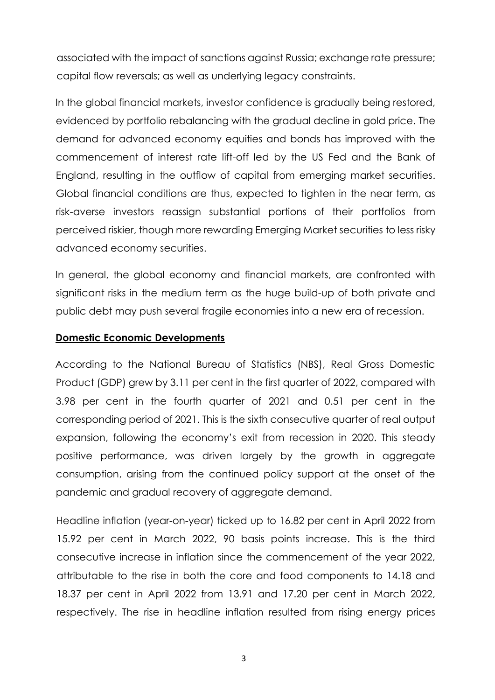associated with the impact of sanctions against Russia; exchange rate pressure; capital flow reversals; as well as underlying legacy constraints.

In the global financial markets, investor confidence is gradually being restored, evidenced by portfolio rebalancing with the gradual decline in gold price. The demand for advanced economy equities and bonds has improved with the commencement of interest rate lift-off led by the US Fed and the Bank of England, resulting in the outflow of capital from emerging market securities. Global financial conditions are thus, expected to tighten in the near term, as risk-averse investors reassign substantial portions of their portfolios from perceived riskier, though more rewarding Emerging Market securities to less risky advanced economy securities.

In general, the global economy and financial markets, are confronted with significant risks in the medium term as the huge build-up of both private and public debt may push several fragile economies into a new era of recession.

# **Domestic Economic Developments**

According to the National Bureau of Statistics (NBS), Real Gross Domestic Product (GDP) grew by 3.11 per cent in the first quarter of 2022, compared with 3.98 per cent in the fourth quarter of 2021 and 0.51 per cent in the corresponding period of 2021. This is the sixth consecutive quarter of real output expansion, following the economy's exit from recession in 2020. This steady positive performance, was driven largely by the growth in aggregate consumption, arising from the continued policy support at the onset of the pandemic and gradual recovery of aggregate demand.

Headline inflation (year-on-year) ticked up to 16.82 per cent in April 2022 from 15.92 per cent in March 2022, 90 basis points increase. This is the third consecutive increase in inflation since the commencement of the year 2022, attributable to the rise in both the core and food components to 14.18 and 18.37 per cent in April 2022 from 13.91 and 17.20 per cent in March 2022, respectively. The rise in headline inflation resulted from rising energy prices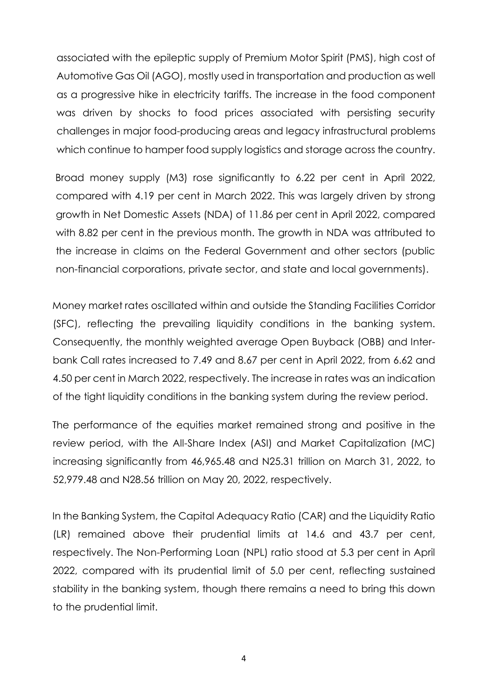associated with the epileptic supply of Premium Motor Spirit (PMS), high cost of Automotive Gas Oil (AGO), mostly used in transportation and production as well as a progressive hike in electricity tariffs. The increase in the food component was driven by shocks to food prices associated with persisting security challenges in major food-producing areas and legacy infrastructural problems which continue to hamper food supply logistics and storage across the country.

Broad money supply (M3) rose significantly to 6.22 per cent in April 2022, compared with 4.19 per cent in March 2022. This was largely driven by strong growth in Net Domestic Assets (NDA) of 11.86 per cent in April 2022, compared with 8.82 per cent in the previous month. The growth in NDA was attributed to the increase in claims on the Federal Government and other sectors (public non-financial corporations, private sector, and state and local governments).

Money market rates oscillated within and outside the Standing Facilities Corridor (SFC), reflecting the prevailing liquidity conditions in the banking system. Consequently, the monthly weighted average Open Buyback (OBB) and Interbank Call rates increased to 7.49 and 8.67 per cent in April 2022, from 6.62 and 4.50 per cent in March 2022, respectively. The increase in rates was an indication of the tight liquidity conditions in the banking system during the review period.

The performance of the equities market remained strong and positive in the review period, with the All-Share Index (ASI) and Market Capitalization (MC) increasing significantly from 46,965.48 and N25.31 trillion on March 31, 2022, to 52,979.48 and N28.56 trillion on May 20, 2022, respectively.

In the Banking System, the Capital Adequacy Ratio (CAR) and the Liquidity Ratio (LR) remained above their prudential limits at 14.6 and 43.7 per cent, respectively. The Non-Performing Loan (NPL) ratio stood at 5.3 per cent in April 2022, compared with its prudential limit of 5.0 per cent, reflecting sustained stability in the banking system, though there remains a need to bring this down to the prudential limit.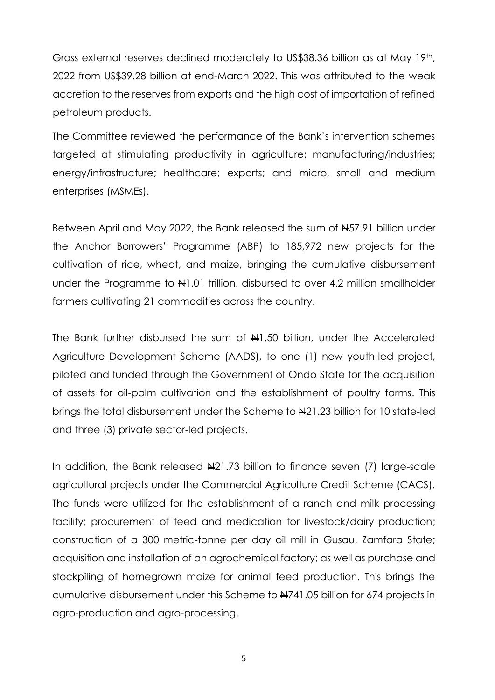Gross external reserves declined moderately to US\$38.36 billion as at May 19th, 2022 from US\$39.28 billion at end-March 2022. This was attributed to the weak accretion to the reserves from exports and the high cost of importation of refined petroleum products.

The Committee reviewed the performance of the Bank's intervention schemes targeted at stimulating productivity in agriculture; manufacturing/industries; energy/infrastructure; healthcare; exports; and micro, small and medium enterprises (MSMEs).

Between April and May 2022, the Bank released the sum of #57.91 billion under the Anchor Borrowers' Programme (ABP) to 185,972 new projects for the cultivation of rice, wheat, and maize, bringing the cumulative disbursement under the Programme to  $\frac{10!}{10!}$  trillion, disbursed to over 4.2 million smallholder farmers cultivating 21 commodities across the country.

The Bank further disbursed the sum of  $H1.50$  billion, under the Accelerated Agriculture Development Scheme (AADS), to one (1) new youth-led project, piloted and funded through the Government of Ondo State for the acquisition of assets for oil-palm cultivation and the establishment of poultry farms. This brings the total disbursement under the Scheme to N21.23 billion for 10 state-led and three (3) private sector-led projects.

In addition, the Bank released  $\frac{121.73}{100}$  billion to finance seven (7) large-scale agricultural projects under the Commercial Agriculture Credit Scheme (CACS). The funds were utilized for the establishment of a ranch and milk processing facility; procurement of feed and medication for livestock/dairy production; construction of a 300 metric-tonne per day oil mill in Gusau, Zamfara State; acquisition and installation of an agrochemical factory; as well as purchase and stockpiling of homegrown maize for animal feed production. This brings the cumulative disbursement under this Scheme to N741.05 billion for 674 projects in agro-production and agro-processing.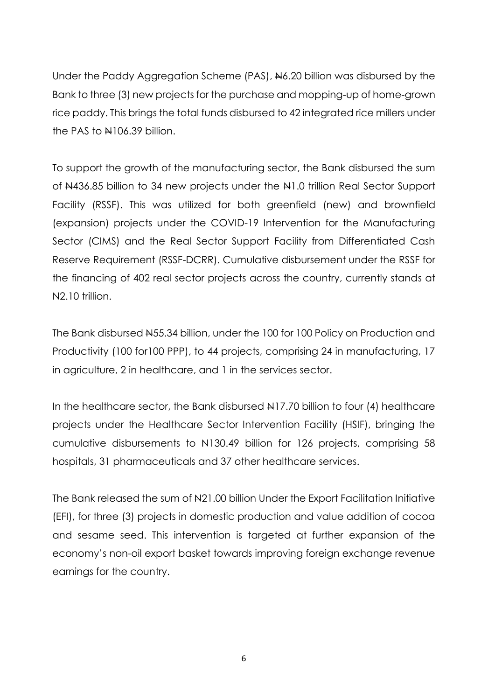Under the Paddy Aggregation Scheme (PAS), N6.20 billion was disbursed by the Bank to three (3) new projects for the purchase and mopping-up of home-grown rice paddy. This brings the total funds disbursed to 42 integrated rice millers under the PAS to  $\frac{1106.39}{100}$  billion.

To support the growth of the manufacturing sector, the Bank disbursed the sum of N436.85 billion to 34 new projects under the N1.0 trillion Real Sector Support Facility (RSSF). This was utilized for both greenfield (new) and brownfield (expansion) projects under the COVID-19 Intervention for the Manufacturing Sector (CIMS) and the Real Sector Support Facility from Differentiated Cash Reserve Requirement (RSSF-DCRR). Cumulative disbursement under the RSSF for the financing of 402 real sector projects across the country, currently stands at N<sub>2.10</sub> trillion.

The Bank disbursed  $#55.34$  billion, under the 100 for 100 Policy on Production and Productivity (100 for100 PPP), to 44 projects, comprising 24 in manufacturing, 17 in agriculture, 2 in healthcare, and 1 in the services sector.

In the healthcare sector, the Bank disbursed  $\frac{127}{70}$  billion to four (4) healthcare projects under the Healthcare Sector Intervention Facility (HSIF), bringing the cumulative disbursements to N130.49 billion for 126 projects, comprising 58 hospitals, 31 pharmaceuticals and 37 other healthcare services.

The Bank released the sum of  $\frac{121.00}{100}$  billion Under the Export Facilitation Initiative (EFI), for three (3) projects in domestic production and value addition of cocoa and sesame seed. This intervention is targeted at further expansion of the economy's non-oil export basket towards improving foreign exchange revenue earnings for the country.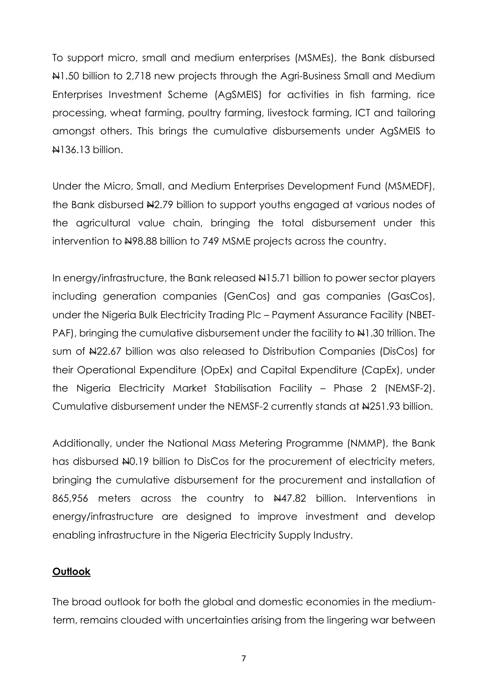To support micro, small and medium enterprises (MSMEs), the Bank disbursed N1.50 billion to 2,718 new projects through the Agri-Business Small and Medium Enterprises Investment Scheme (AgSMEIS) for activities in fish farming, rice processing, wheat farming, poultry farming, livestock farming, ICT and tailoring amongst others. This brings the cumulative disbursements under AgSMEIS to **N136.13 billion.** 

Under the Micro, Small, and Medium Enterprises Development Fund (MSMEDF), the Bank disbursed N2.79 billion to support youths engaged at various nodes of the agricultural value chain, bringing the total disbursement under this intervention to N98.88 billion to 749 MSME projects across the country.

In energy/infrastructure, the Bank released  $\frac{1415.71}{1000}$  billion to power sector players including generation companies (GenCos) and gas companies (GasCos), under the Nigeria Bulk Electricity Trading Plc – Payment Assurance Facility (NBET-PAF), bringing the cumulative disbursement under the facility to  $\frac{1}{2}$ , 30 trillion. The sum of  $\frac{1}{22.67}$  billion was also released to Distribution Companies (DisCos) for their Operational Expenditure (OpEx) and Capital Expenditure (CapEx), under the Nigeria Electricity Market Stabilisation Facility – Phase 2 (NEMSF-2). Cumulative disbursement under the NEMSF-2 currently stands at #251.93 billion.

Additionally, under the National Mass Metering Programme (NMMP), the Bank has disbursed  $\mu$ 0.19 billion to DisCos for the procurement of electricity meters, bringing the cumulative disbursement for the procurement and installation of 865,956 meters across the country to N47.82 billion. Interventions in energy/infrastructure are designed to improve investment and develop enabling infrastructure in the Nigeria Electricity Supply Industry.

### **Outlook**

The broad outlook for both the global and domestic economies in the mediumterm, remains clouded with uncertainties arising from the lingering war between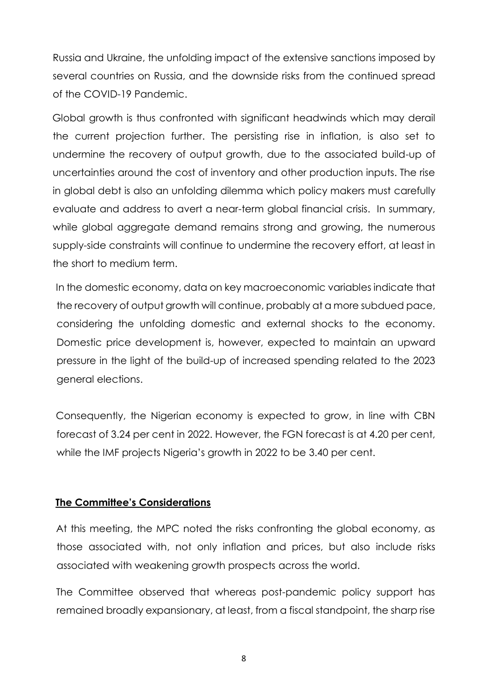Russia and Ukraine, the unfolding impact of the extensive sanctions imposed by several countries on Russia, and the downside risks from the continued spread of the COVID-19 Pandemic.

Global growth is thus confronted with significant headwinds which may derail the current projection further. The persisting rise in inflation, is also set to undermine the recovery of output growth, due to the associated build-up of uncertainties around the cost of inventory and other production inputs. The rise in global debt is also an unfolding dilemma which policy makers must carefully evaluate and address to avert a near-term global financial crisis. In summary, while global aggregate demand remains strong and growing, the numerous supply-side constraints will continue to undermine the recovery effort, at least in the short to medium term.

In the domestic economy, data on key macroeconomic variables indicate that the recovery of output growth will continue, probably at a more subdued pace, considering the unfolding domestic and external shocks to the economy. Domestic price development is, however, expected to maintain an upward pressure in the light of the build-up of increased spending related to the 2023 general elections.

Consequently, the Nigerian economy is expected to grow, in line with CBN forecast of 3.24 per cent in 2022. However, the FGN forecast is at 4.20 per cent, while the IMF projects Nigeria's growth in 2022 to be 3.40 per cent.

# **The Committee's Considerations**

At this meeting, the MPC noted the risks confronting the global economy, as those associated with, not only inflation and prices, but also include risks associated with weakening growth prospects across the world.

The Committee observed that whereas post-pandemic policy support has remained broadly expansionary, at least, from a fiscal standpoint, the sharp rise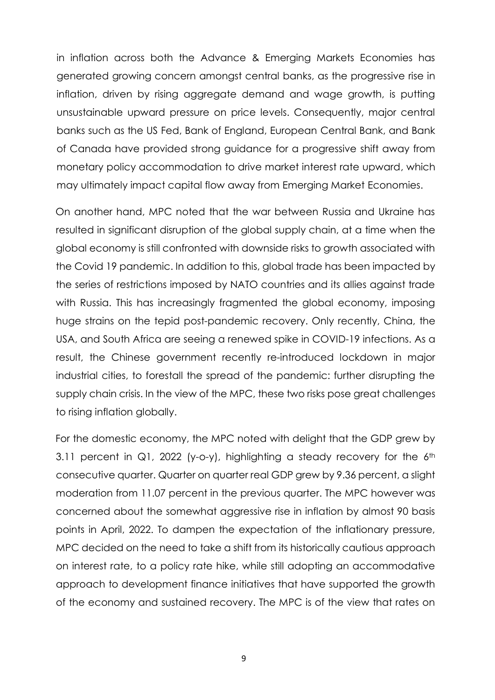in inflation across both the Advance & Emerging Markets Economies has generated growing concern amongst central banks, as the progressive rise in inflation, driven by rising aggregate demand and wage growth, is putting unsustainable upward pressure on price levels. Consequently, major central banks such as the US Fed, Bank of England, European Central Bank, and Bank of Canada have provided strong guidance for a progressive shift away from monetary policy accommodation to drive market interest rate upward, which may ultimately impact capital flow away from Emerging Market Economies.

On another hand, MPC noted that the war between Russia and Ukraine has resulted in significant disruption of the global supply chain, at a time when the global economy is still confronted with downside risks to growth associated with the Covid 19 pandemic. In addition to this, global trade has been impacted by the series of restrictions imposed by NATO countries and its allies against trade with Russia. This has increasingly fragmented the global economy, imposing huge strains on the tepid post-pandemic recovery. Only recently, China, the USA, and South Africa are seeing a renewed spike in COVID-19 infections. As a result, the Chinese government recently re-introduced lockdown in major industrial cities, to forestall the spread of the pandemic: further disrupting the supply chain crisis. In the view of the MPC, these two risks pose great challenges to rising inflation globally.

For the domestic economy, the MPC noted with delight that the GDP grew by 3.11 percent in  $Q1$ , 2022 (y-o-y), highlighting a steady recovery for the  $6<sup>th</sup>$ consecutive quarter. Quarter on quarter real GDP grew by 9.36 percent, a slight moderation from 11.07 percent in the previous quarter. The MPC however was concerned about the somewhat aggressive rise in inflation by almost 90 basis points in April, 2022. To dampen the expectation of the inflationary pressure, MPC decided on the need to take a shift from its historically cautious approach on interest rate, to a policy rate hike, while still adopting an accommodative approach to development finance initiatives that have supported the growth of the economy and sustained recovery. The MPC is of the view that rates on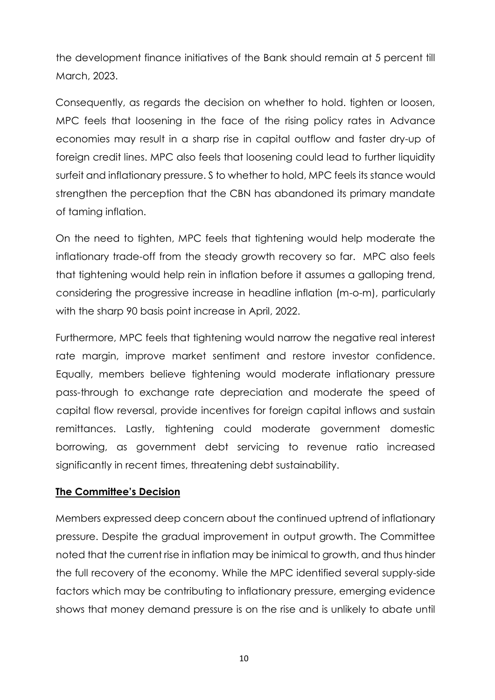the development finance initiatives of the Bank should remain at 5 percent till March, 2023.

Consequently, as regards the decision on whether to hold. tighten or loosen, MPC feels that loosening in the face of the rising policy rates in Advance economies may result in a sharp rise in capital outflow and faster dry-up of foreign credit lines. MPC also feels that loosening could lead to further liquidity surfeit and inflationary pressure. S to whether to hold, MPC feels its stance would strengthen the perception that the CBN has abandoned its primary mandate of taming inflation.

On the need to tighten, MPC feels that tightening would help moderate the inflationary trade-off from the steady growth recovery so far. MPC also feels that tightening would help rein in inflation before it assumes a galloping trend, considering the progressive increase in headline inflation (m-o-m), particularly with the sharp 90 basis point increase in April, 2022.

Furthermore, MPC feels that tightening would narrow the negative real interest rate margin, improve market sentiment and restore investor confidence. Equally, members believe tightening would moderate inflationary pressure pass-through to exchange rate depreciation and moderate the speed of capital flow reversal, provide incentives for foreign capital inflows and sustain remittances. Lastly, tightening could moderate government domestic borrowing, as government debt servicing to revenue ratio increased significantly in recent times, threatening debt sustainability.

# **The Committee's Decision**

Members expressed deep concern about the continued uptrend of inflationary pressure. Despite the gradual improvement in output growth. The Committee noted that the current rise in inflation may be inimical to growth, and thus hinder the full recovery of the economy. While the MPC identified several supply-side factors which may be contributing to inflationary pressure, emerging evidence shows that money demand pressure is on the rise and is unlikely to abate until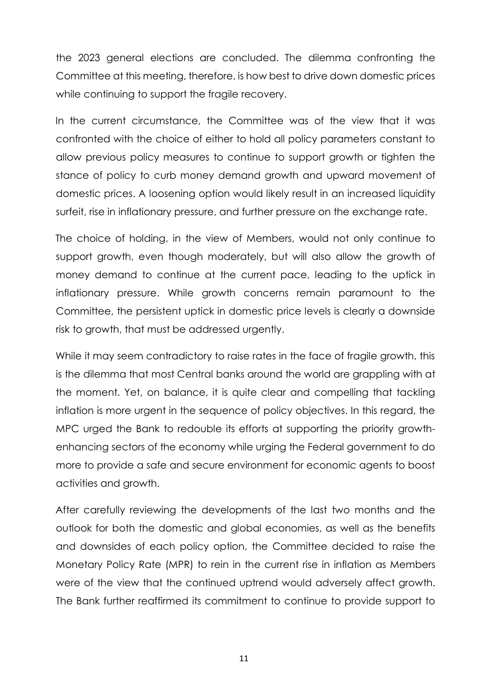the 2023 general elections are concluded. The dilemma confronting the Committee at this meeting, therefore, is how best to drive down domestic prices while continuing to support the fragile recovery.

In the current circumstance, the Committee was of the view that it was confronted with the choice of either to hold all policy parameters constant to allow previous policy measures to continue to support growth or tighten the stance of policy to curb money demand growth and upward movement of domestic prices. A loosening option would likely result in an increased liquidity surfeit, rise in inflationary pressure, and further pressure on the exchange rate.

The choice of holding, in the view of Members, would not only continue to support growth, even though moderately, but will also allow the growth of money demand to continue at the current pace, leading to the uptick in inflationary pressure. While growth concerns remain paramount to the Committee, the persistent uptick in domestic price levels is clearly a downside risk to growth, that must be addressed urgently.

While it may seem contradictory to raise rates in the face of fragile growth, this is the dilemma that most Central banks around the world are grappling with at the moment. Yet, on balance, it is quite clear and compelling that tackling inflation is more urgent in the sequence of policy objectives. In this regard, the MPC urged the Bank to redouble its efforts at supporting the priority growthenhancing sectors of the economy while urging the Federal government to do more to provide a safe and secure environment for economic agents to boost activities and growth.

After carefully reviewing the developments of the last two months and the outlook for both the domestic and global economies, as well as the benefits and downsides of each policy option, the Committee decided to raise the Monetary Policy Rate (MPR) to rein in the current rise in inflation as Members were of the view that the continued uptrend would adversely affect growth. The Bank further reaffirmed its commitment to continue to provide support to